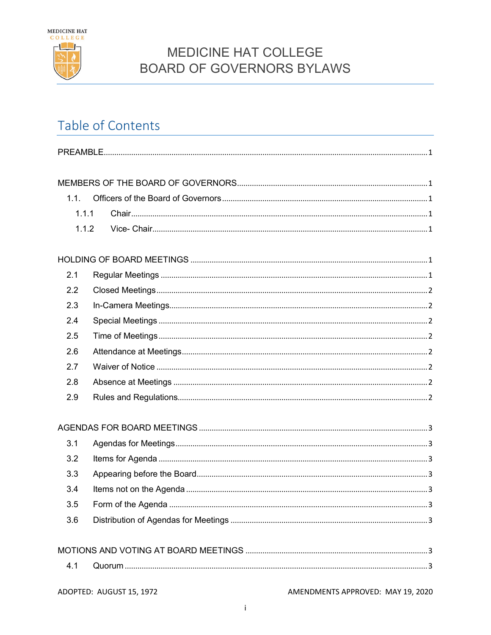

## Table of Contents

| 1.1.  |                          |                                   |
|-------|--------------------------|-----------------------------------|
| 1.1.1 |                          |                                   |
| 1.1.2 |                          |                                   |
|       |                          |                                   |
|       |                          |                                   |
| 2.1   |                          |                                   |
| 2.2   |                          |                                   |
| 2.3   |                          |                                   |
| 2.4   |                          |                                   |
| 2.5   |                          |                                   |
| 2.6   |                          |                                   |
| 2.7   |                          |                                   |
| 2.8   |                          |                                   |
| 2.9   |                          |                                   |
|       |                          |                                   |
| 3.1   |                          |                                   |
| 3.2   |                          |                                   |
| 3.3   |                          |                                   |
| 3.4   |                          |                                   |
| 3.5   |                          |                                   |
| 3.6   |                          |                                   |
|       |                          |                                   |
| 4.1   |                          |                                   |
|       | ADOPTED: AUGUST 15, 1972 | AMENDMENTS APPROVED: MAY 19, 2020 |

 $\mathbf i$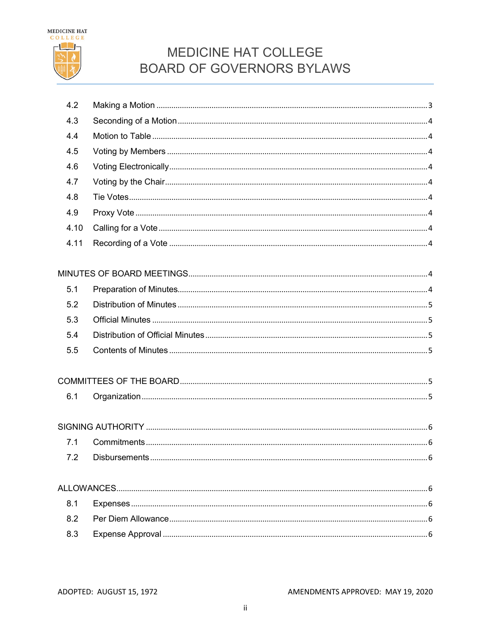

| 4.2  |                                    |
|------|------------------------------------|
| 4.3  |                                    |
| 4.4  |                                    |
| 4.5  |                                    |
| 4.6  |                                    |
| 4.7  |                                    |
| 4.8  |                                    |
| 4.9  |                                    |
| 4.10 |                                    |
| 4.11 |                                    |
|      |                                    |
|      |                                    |
| 5.1  |                                    |
| 5.2  |                                    |
| 5.3  |                                    |
| 5.4  |                                    |
| 5.5  |                                    |
|      |                                    |
|      |                                    |
| 6.1  |                                    |
|      |                                    |
|      |                                    |
| 7.1  |                                    |
|      | 72 Disbursements<br>6 <sup>1</sup> |
|      |                                    |
|      |                                    |
| 8.1  |                                    |
| 8.2  |                                    |
| 8.3  |                                    |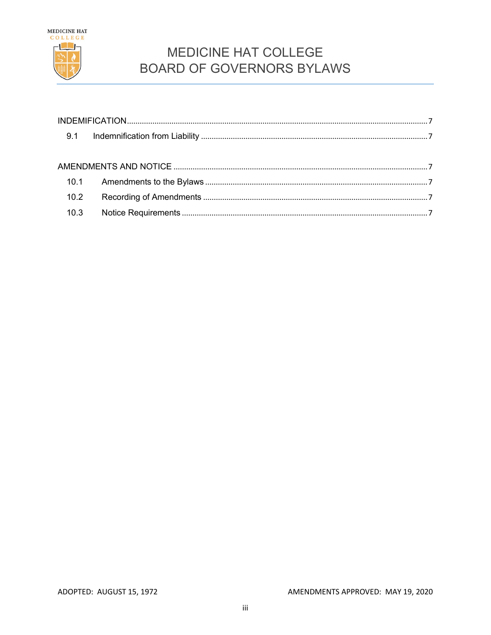

| 10.2 |  |
|------|--|
| 10.3 |  |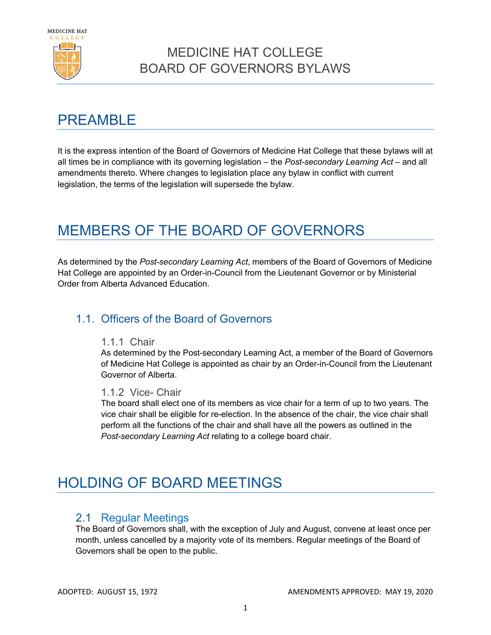

## <span id="page-3-0"></span>**PREAMBLE**

It is the express intention of the Board of Governors of Medicine Hat College that these bylaws will at all times be in compliance with its governing legislation – the *Post-secondary Learning Act* – and all amendments thereto. Where changes to legislation place any bylaw in conflict with current legislation, the terms of the legislation will supersede the bylaw.

## <span id="page-3-1"></span>MEMBERS OF THE BOARD OF GOVERNORS

As determined by the *Post-secondary Learning Act*, members of the Board of Governors of Medicine Hat College are appointed by an Order-in-Council from the Lieutenant Governor or by Ministerial Order from Alberta Advanced Education.

#### <span id="page-3-3"></span><span id="page-3-2"></span>1.1. Officers of the Board of Governors

#### 1.1.1 Chair

As determined by the Post-secondary Learning Act, a member of the Board of Governors of Medicine Hat College is appointed as chair by an Order-in-Council from the Lieutenant Governor of Alberta.

#### <span id="page-3-4"></span>1.1.2 Vice- Chair

The board shall elect one of its members as vice chair for a term of up to two years. The vice chair shall be eligible for re-election. In the absence of the chair, the vice chair shall perform all the functions of the chair and shall have all the powers as outlined in the *Post-secondary Learning Act* relating to a college board chair.

## <span id="page-3-5"></span>HOLDING OF BOARD MEETINGS

#### <span id="page-3-6"></span>2.1 Regular Meetings

The Board of Governors shall, with the exception of July and August, convene at least once per month, unless cancelled by a majority vote of its members. Regular meetings of the Board of Governors shall be open to the public.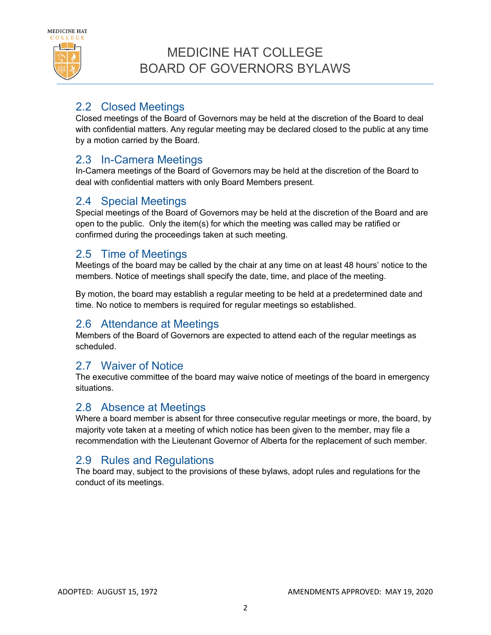

### <span id="page-4-0"></span>2.2 Closed Meetings

Closed meetings of the Board of Governors may be held at the discretion of the Board to deal with confidential matters. Any regular meeting may be declared closed to the public at any time by a motion carried by the Board.

#### <span id="page-4-1"></span>2.3 In-Camera Meetings

In-Camera meetings of the Board of Governors may be held at the discretion of the Board to deal with confidential matters with only Board Members present.

#### <span id="page-4-2"></span>2.4 Special Meetings

Special meetings of the Board of Governors may be held at the discretion of the Board and are open to the public. Only the item(s) for which the meeting was called may be ratified or confirmed during the proceedings taken at such meeting.

#### <span id="page-4-3"></span>2.5 Time of Meetings

Meetings of the board may be called by the chair at any time on at least 48 hours' notice to the members. Notice of meetings shall specify the date, time, and place of the meeting.

By motion, the board may establish a regular meeting to be held at a predetermined date and time. No notice to members is required for regular meetings so established.

#### <span id="page-4-4"></span>2.6 Attendance at Meetings

Members of the Board of Governors are expected to attend each of the regular meetings as scheduled.

#### <span id="page-4-5"></span>2.7 Waiver of Notice

The executive committee of the board may waive notice of meetings of the board in emergency situations.

#### <span id="page-4-6"></span>2.8 Absence at Meetings

Where a board member is absent for three consecutive regular meetings or more, the board, by majority vote taken at a meeting of which notice has been given to the member, may file a recommendation with the Lieutenant Governor of Alberta for the replacement of such member.

#### <span id="page-4-7"></span>2.9 Rules and Regulations

The board may, subject to the provisions of these bylaws, adopt rules and regulations for the conduct of its meetings.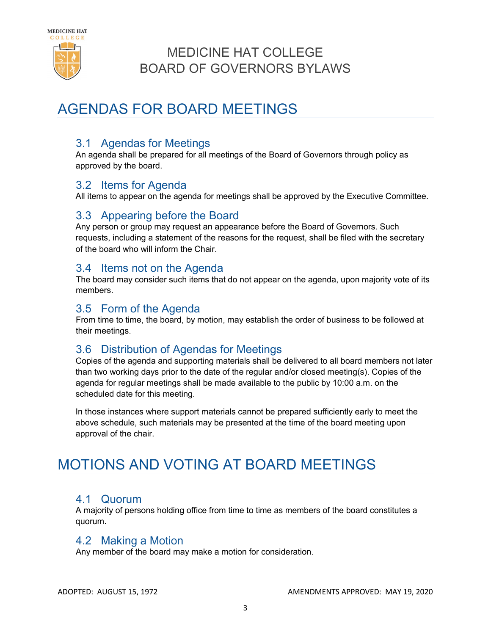

## <span id="page-5-0"></span>AGENDAS FOR BOARD MEETINGS

#### <span id="page-5-1"></span>3.1 Agendas for Meetings

An agenda shall be prepared for all meetings of the Board of Governors through policy as approved by the board.

#### <span id="page-5-2"></span>3.2 Items for Agenda

All items to appear on the agenda for meetings shall be approved by the Executive Committee.

### <span id="page-5-3"></span>3.3 Appearing before the Board

Any person or group may request an appearance before the Board of Governors. Such requests, including a statement of the reasons for the request, shall be filed with the secretary of the board who will inform the Chair.

#### <span id="page-5-4"></span>3.4 Items not on the Agenda

The board may consider such items that do not appear on the agenda, upon majority vote of its members.

#### <span id="page-5-5"></span>3.5 Form of the Agenda

From time to time, the board, by motion, may establish the order of business to be followed at their meetings.

#### <span id="page-5-6"></span>3.6 Distribution of Agendas for Meetings

Copies of the agenda and supporting materials shall be delivered to all board members not later than two working days prior to the date of the regular and/or closed meeting(s). Copies of the agenda for regular meetings shall be made available to the public by 10:00 a.m. on the scheduled date for this meeting.

In those instances where support materials cannot be prepared sufficiently early to meet the above schedule, such materials may be presented at the time of the board meeting upon approval of the chair.

## <span id="page-5-7"></span>MOTIONS AND VOTING AT BOARD MEETINGS

#### <span id="page-5-8"></span>4.1 Quorum

A majority of persons holding office from time to time as members of the board constitutes a quorum.

#### <span id="page-5-9"></span>4.2 Making a Motion

Any member of the board may make a motion for consideration.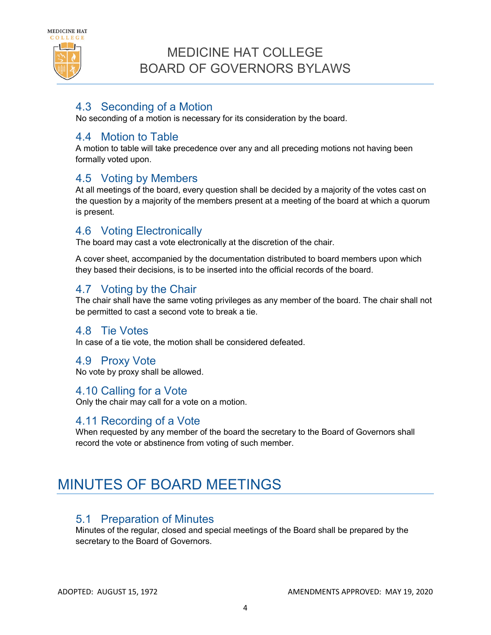

#### <span id="page-6-0"></span>4.3 Seconding of a Motion

No seconding of a motion is necessary for its consideration by the board.

#### <span id="page-6-1"></span>4.4 Motion to Table

A motion to table will take precedence over any and all preceding motions not having been formally voted upon.

#### <span id="page-6-2"></span>4.5 Voting by Members

At all meetings of the board, every question shall be decided by a majority of the votes cast on the question by a majority of the members present at a meeting of the board at which a quorum is present.

#### <span id="page-6-3"></span>4.6 Voting Electronically

The board may cast a vote electronically at the discretion of the chair.

A cover sheet, accompanied by the documentation distributed to board members upon which they based their decisions, is to be inserted into the official records of the board.

#### <span id="page-6-4"></span>4.7 Voting by the Chair

The chair shall have the same voting privileges as any member of the board. The chair shall not be permitted to cast a second vote to break a tie.

#### <span id="page-6-5"></span>4.8 Tie Votes

In case of a tie vote, the motion shall be considered defeated.

#### <span id="page-6-6"></span>4.9 Proxy Vote

No vote by proxy shall be allowed.

<span id="page-6-7"></span>4.10 Calling for a Vote

Only the chair may call for a vote on a motion.

#### <span id="page-6-8"></span>4.11 Recording of a Vote

When requested by any member of the board the secretary to the Board of Governors shall record the vote or abstinence from voting of such member.

# <span id="page-6-9"></span>MINUTES OF BOARD MEETINGS

#### <span id="page-6-10"></span>5.1 Preparation of Minutes

Minutes of the regular, closed and special meetings of the Board shall be prepared by the secretary to the Board of Governors.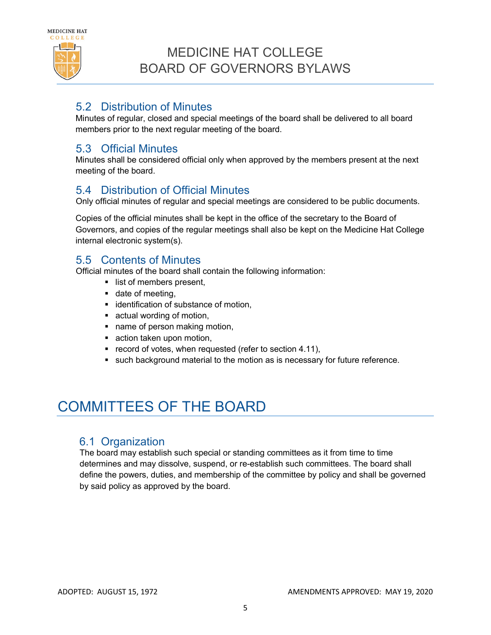

#### <span id="page-7-0"></span>5.2 Distribution of Minutes

Minutes of regular, closed and special meetings of the board shall be delivered to all board members prior to the next regular meeting of the board.

#### <span id="page-7-1"></span>5.3 Official Minutes

Minutes shall be considered official only when approved by the members present at the next meeting of the board.

#### <span id="page-7-2"></span>5.4 Distribution of Official Minutes

Only official minutes of regular and special meetings are considered to be public documents.

Copies of the official minutes shall be kept in the office of the secretary to the Board of Governors, and copies of the regular meetings shall also be kept on the Medicine Hat College internal electronic system(s).

#### <span id="page-7-3"></span>5.5 Contents of Minutes

Official minutes of the board shall contain the following information:

- **I** list of members present,
- date of meeting,
- **identification of substance of motion,**
- **actual wording of motion,**
- name of person making motion,
- action taken upon motion,
- **•** record of votes, when requested (refer to section 4.11),
- **such background material to the motion as is necessary for future reference.**

# <span id="page-7-4"></span>COMMITTEES OF THE BOARD

#### <span id="page-7-5"></span>6.1 Organization

The board may establish such special or standing committees as it from time to time determines and may dissolve, suspend, or re-establish such committees. The board shall define the powers, duties, and membership of the committee by policy and shall be governed by said policy as approved by the board.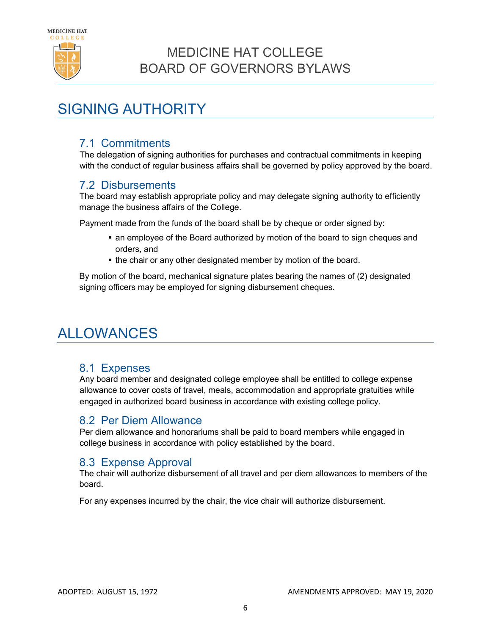

## <span id="page-8-0"></span>SIGNING AUTHORITY

#### <span id="page-8-1"></span>7.1 Commitments

The delegation of signing authorities for purchases and contractual commitments in keeping with the conduct of regular business affairs shall be governed by policy approved by the board.

#### <span id="page-8-2"></span>7.2 Disbursements

The board may establish appropriate policy and may delegate signing authority to efficiently manage the business affairs of the College.

Payment made from the funds of the board shall be by cheque or order signed by:

- an employee of the Board authorized by motion of the board to sign cheques and orders, and
- the chair or any other designated member by motion of the board.

By motion of the board, mechanical signature plates bearing the names of (2) designated signing officers may be employed for signing disbursement cheques.

## <span id="page-8-3"></span>ALLOWANCES

#### <span id="page-8-4"></span>8.1 Expenses

Any board member and designated college employee shall be entitled to college expense allowance to cover costs of travel, meals, accommodation and appropriate gratuities while engaged in authorized board business in accordance with existing college policy.

#### <span id="page-8-5"></span>8.2 Per Diem Allowance

Per diem allowance and honorariums shall be paid to board members while engaged in college business in accordance with policy established by the board.

#### <span id="page-8-6"></span>8.3 Expense Approval

The chair will authorize disbursement of all travel and per diem allowances to members of the board.

For any expenses incurred by the chair, the vice chair will authorize disbursement.